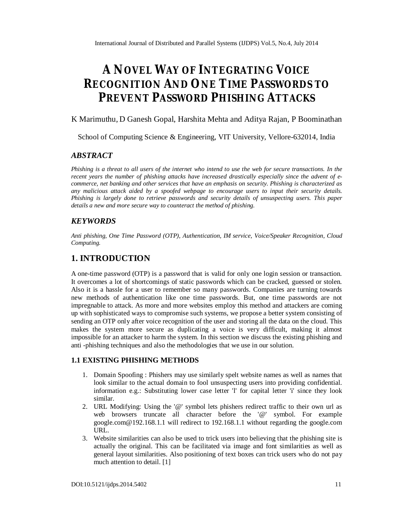# **A NOVEL WAY OF INTEGRATING VOICE RECOGNITION AND ONE TIME PASSWORDS TO PREVENT PASSWORD PHISHING ATTACKS**

K Marimuthu, D Ganesh Gopal, Harshita Mehta and Aditya Rajan, P Boominathan

School of Computing Science & Engineering, VIT University, Vellore-632014, India

#### *ABSTRACT*

*Phishing is a threat to all users of the internet who intend to use the web for secure transactions. In the recent years the number of phishing attacks have increased drastically especially since the advent of ecommerce, net banking and other services that have an emphasis on security. Phishing is characterized as any malicious attack aided by a spoofed webpage to encourage users to input their security details. Phishing is largely done to retrieve passwords and security details of unsuspecting users. This paper details a new and more secure way to counteract the method of phishing.*

### *KEYWORDS*

*Anti phishing, One Time Password (OTP), Authentication, IM service, Voice/Speaker Recognition, Cloud Computing.*

# **1. INTRODUCTION**

A one-time password (OTP) is a password that is valid for only one login session or transaction. It overcomes a lot of shortcomings of static passwords which can be cracked, guessed or stolen. Also it is a hassle for a user to remember so many passwords. Companies are turning towards new methods of authentication like one time passwords. But, one time passwords are not impregnable to attack. As more and more websites employ this method and attackers are coming up with sophisticated ways to compromise such systems, we propose a better system consisting of sending an OTP only after voice recognition of the user and storing all the data on the cloud. This makes the system more secure as duplicating a voice is very difficult, making it almost impossible for an attacker to harm the system. In this section we discuss the existing phishing and anti -phishing techniques and also the methodologies that we use in our solution.

#### **1.1 EXISTING PHISHING METHODS**

- 1. Domain Spoofing : Phishers may use similarly spelt website names as well as names that look similar to the actual domain to fool unsuspecting users into providing confidential. information e.g.: Substituting lower case letter 'l' for capital letter 'i' since they look similar.
- 2. URL Modifying: Using the '@' symbol lets phishers redirect traffic to their own url as web browsers truncate all character before the '@' symbol. For example google.com@192.168.1.1 will redirect to 192.168.1.1 without regarding the google.com URL.
- 3. Website similarities can also be used to trick users into believing that the phishing site is actually the original. This can be facilitated via image and font similarities as well as general layout similarities. Also positioning of text boxes can trick users who do not pay much attention to detail. [1]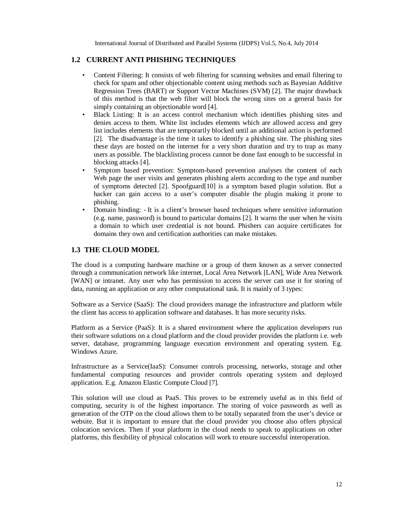#### **1.2 CURRENT ANTI PHISHING TECHNIQUES**

- Content Filtering: It consists of web filtering for scanning websites and email filtering to check for spam and other objectionable content using methods such as Bayesian Additive Regression Trees (BART) or Support Vector Machines (SVM) [2]. The major drawback of this method is that the web filter will block the wrong sites on a general basis for simply containing an objectionable word [4].
- Black Listing: It is an access control mechanism which identifies phishing sites and denies access to them. White list includes elements which are allowed access and grey list includes elements that are temporarily blocked until an additional action is performed [2]. The disadvantage is the time it takes to identify a phishing site. The phishing sites these days are hosted on the internet for a very short duration and try to trap as many users as possible. The blacklisting process cannot be done fast enough to be successful in blocking attacks [4].
- Symptom based prevention: Symptom-based prevention analyses the content of each Web page the user visits and generates phishing alerts according to the type and number of symptoms detected [2]. Spoofguard[10] is a symptom based plugin solution. But a hacker can gain access to a user's computer disable the plugin making it prone to phishing.
- Domain binding: It is a client's browser based techniques where sensitive information (e.g. name, password) is bound to particular domains [2]. It warns the user when he visits a domain to which user credential is not bound. Phishers can acquire certificates for domains they own and certification authorities can make mistakes.

## **1.3 THE CLOUD MODEL**

The cloud is a computing hardware machine or a group of them known as a server connected through a communication network like internet, Local Area Network [LAN], Wide Area Network [WAN] or intranet. Any user who has permission to access the server can use it for storing of data, running an application or any other computational task. It is mainly of 3 types:

Software as a Service (SaaS): The cloud providers manage the infrastructure and platform while the client has access to application software and databases. It has more security risks.

Platform as a Service (PaaS): It is a shared environment where the application developers run their software solutions on a cloud platform and the cloud provider provides the platform i.e. web server, database, programming language execution environment and operating system. Eg. Windows Azure.

Infrastructure as a Service(IaaS): Consumer controls processing, networks, storage and other fundamental computing resources and provider controls operating system and deployed application. E.g. Amazon Elastic Compute Cloud [7].

This solution will use cloud as PaaS. This proves to be extremely useful as in this field of computing, security is of the highest importance. The storing of voice passwords as well as generation of the OTP on the cloud allows them to be totally separated from the user's device or website. But it is important to ensure that the cloud provider you choose also offers physical colocation services. Then if your platform in the cloud needs to speak to applications on other platforms, this flexibility of physical colocation will work to ensure successful interoperation.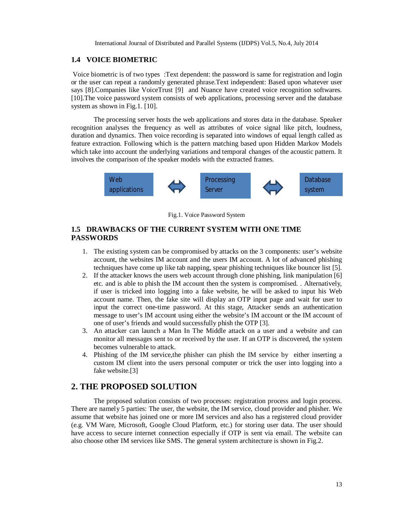#### **1.4 VOICE BIOMETRIC**

Voice biometric is of two types :Text dependent: the password is same for registration and login or the user can repeat a randomly generated phrase.Text independent: Based upon whatever user says [8].Companies like VoiceTrust [9] and Nuance have created voice recognition softwares. [10].The voice password system consists of web applications, processing server and the database system as shown in Fig.1. [10].

The processing server hosts the web applications and stores data in the database. Speaker recognition analyses the frequency as well as attributes of voice signal like pitch, loudness, duration and dynamics. Then voice recording is separated into windows of equal length called as feature extraction. Following which is the pattern matching based upon Hidden Markov Models which take into account the underlying variations and temporal changes of the acoustic pattern. It involves the comparison of the speaker models with the extracted frames.



Fig.1. Voice Password System

#### **1.5 DRAWBACKS OF THE CURRENT SYSTEM WITH ONE TIME PASSWORDS**

- 1. The existing system can be compromised by attacks on the 3 components: user's website account, the websites IM account and the users IM account. A lot of advanced phishing techniques have come up like tab napping, spear phishing techniques like bouncer list [5].
- 2. If the attacker knows the users web account through clone phishing, link manipulation [6] etc. and is able to phish the IM account then the system is compromised. . Alternatively, if user is tricked into logging into a fake website, he will be asked to input his Web account name. Then, the fake site will display an OTP input page and wait for user to input the correct one-time password. At this stage, Attacker sends an authentication message to user's IM account using either the website's IM account or the IM account of one of user's friends and would successfully phish the OTP [3].
- 3. An attacker can launch a Man In The Middle attack on a user and a website and can monitor all messages sent to or received by the user. If an OTP is discovered, the system becomes vulnerable to attack.
- 4. Phishing of the IM service,the phisher can phish the IM service by either inserting a custom IM client into the users personal computer or trick the user into logging into a fake website.[3]

### **2. THE PROPOSED SOLUTION**

The proposed solution consists of two processes: registration process and login process. There are namely 5 parties: The user, the website, the IM service, cloud provider and phisher. We assume that website has joined one or more IM services and also has a registered cloud provider (e.g. VM Ware, Microsoft, Google Cloud Platform, etc.) for storing user data. The user should have access to secure internet connection especially if OTP is sent via email. The website can also choose other IM services like SMS. The general system architecture is shown in Fig.2.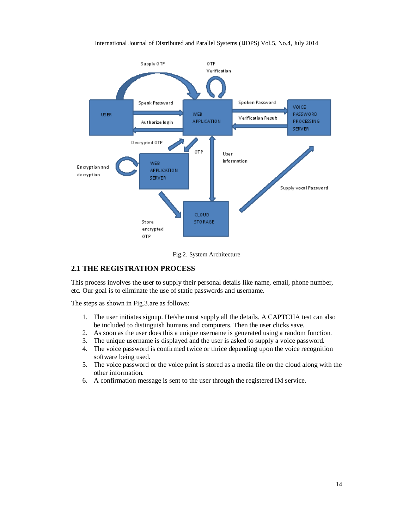

International Journal of Distributed and Parallel Systems (IJDPS) Vol.5, No.4, July 2014



#### **2.1 THE REGISTRATION PROCESS**

This process involves the user to supply their personal details like name, email, phone number, etc. Our goal is to eliminate the use of static passwords and username.

The steps as shown in Fig.3.are as follows:

- 1. The user initiates signup. He/she must supply all the details. A CAPTCHA test can also be included to distinguish humans and computers. Then the user clicks save.
- 2. As soon as the user does this a unique username is generated using a random function.
- 3. The unique username is displayed and the user is asked to supply a voice password.
- 4. The voice password is confirmed twice or thrice depending upon the voice recognition software being used.
- 5. The voice password or the voice print is stored as a media file on the cloud along with the other information.
- 6. A confirmation message is sent to the user through the registered IM service.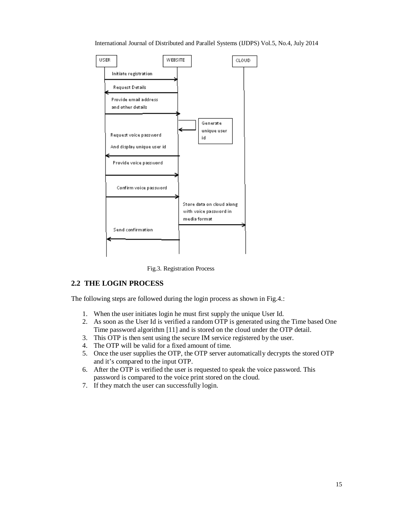

Fig.3. Registration Process

#### **2.2 THE LOGIN PROCESS**

The following steps are followed during the login process as shown in Fig.4.:

- 1. When the user initiates login he must first supply the unique User Id.
- 2. As soon as the User Id is verified a random OTP is generated using the Time based One Time password algorithm [11] and is stored on the cloud under the OTP detail.
- 3. This OTP is then sent using the secure IM service registered by the user.
- 4. The OTP will be valid for a fixed amount of time.
- 5. Once the user supplies the OTP, the OTP server automatically decrypts the stored OTP and it's compared to the input OTP.
- 6. After the OTP is verified the user is requested to speak the voice password. This password is compared to the voice print stored on the cloud.
- 7. If they match the user can successfully login.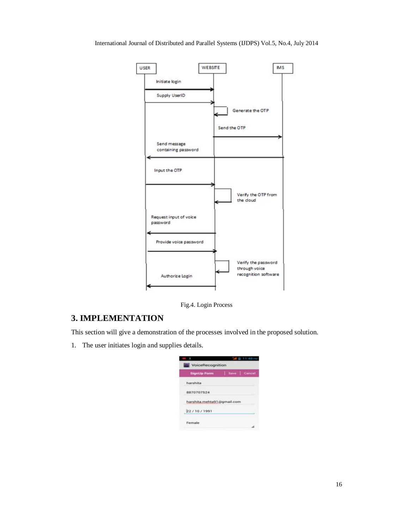

Fig.4. Login Process

# **3. IMPLEMENTATION**

This section will give a demonstration of the processes involved in the proposed solution.

1. The user initiates login and supplies details.

|                            | 2 11:48 PM               |
|----------------------------|--------------------------|
| VoiceRecognition           |                          |
| <b>SignUp Form</b>         | Carticell<br><b>Save</b> |
| harshita                   |                          |
| 8870707524                 |                          |
| harshita.mehta91@gmail.com |                          |
| 22/10/1991                 |                          |
| Female                     |                          |
|                            |                          |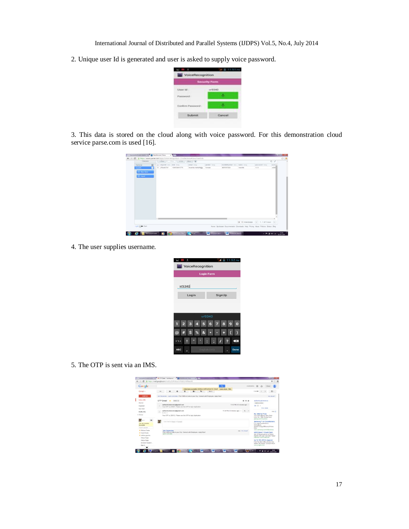2. Unique user Id is generated and user is asked to supply voice password.

| VoiceRecognition          |           |
|---------------------------|-----------|
| <b>Security Form</b>      |           |
| <b>VISION</b><br>Japan Id | porticit. |
| Passworth /               |           |
| Confern Password          |           |
| <b>Bubmit</b>             | Carvore   |

3. This data is stored on the cloud along with voice password. For this demonstration cloud service parse.com is used [16].



4. The user supplies username.

| $\frac{1}{2}$                                                         | 11:52 PM<br>80 L                                   |  |
|-----------------------------------------------------------------------|----------------------------------------------------|--|
| VoiceRecognition                                                      |                                                    |  |
|                                                                       | <b>Login Form</b>                                  |  |
| vr9340                                                                |                                                    |  |
| Login                                                                 | SignUp                                             |  |
|                                                                       |                                                    |  |
|                                                                       |                                                    |  |
|                                                                       | vr9340                                             |  |
| $\overline{2}$<br>$\overline{\mathbf{3}}$<br>$\overline{4}$<br>ī<br>5 | 8<br>9<br>$\bf{0}$<br>6<br>$\overline{\mathbf{z}}$ |  |
| %<br>\$<br>&<br>@                                                     |                                                    |  |
| m<br>Д<br>$= 1$                                                       | $\overline{\mathbf{X}}$                            |  |
| <b>ABC</b><br>п                                                       | English (US)<br>Done                               |  |

5. The OTP is sent via an IMS.

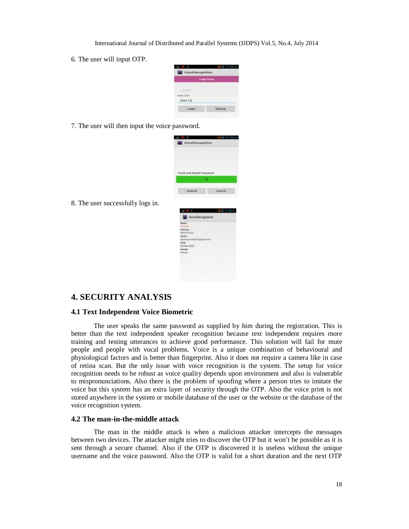6. The user will input OTP.

| ■ 11:55m                |
|-------------------------|
| <b>WoiceRecognition</b> |
| <b>Login Form</b>       |
|                         |
|                         |
|                         |
| SignUp                  |
|                         |

7. The user will then input the voice password.

| h                                              | 11:56 m   |
|------------------------------------------------|-----------|
| <b>WoiceRecognition</b>                        |           |
|                                                |           |
|                                                |           |
| Touch and Speak Password                       |           |
|                                                |           |
| Submit                                         | Cancel    |
| $-1000$                                        | E 11.56 m |
| VoiceRecognition                               |           |
| Name  <br>harshita                             |           |
| <b>SAda No: 1</b><br>BRIVATEINER               |           |
| Email:<br><b>Narohita</b> mehlalt li@gmail.com |           |
| DOG:<br>05/Mar/2006                            |           |
|                                                |           |

8. The user successfully logs in.

## **4. SECURITY ANALYSIS**

#### **4.1 Text Independent Voice Biometric**

The user speaks the same password as supplied by him during the registration. This is better than the text independent speaker recognition because text independent requires more training and testing utterances to achieve good performance. This solution will fail for mute people and people with vocal problems. Voice is a unique combination of behavioural and physiological factors and is better than fingerprint. Also it does not require a camera like in case of retina scan. But the only issue with voice recognition is the system. The setup for voice recognition needs to be robust as voice quality depends upon environment and also is vulnerable to mispronunciations. Also there is the problem of spoofing where a person tries to imitate the voice but this system has an extra layer of security through the OTP. Also the voice print is not stored anywhere in the system or mobile database of the user or the website or the database of the voice recognition system.

#### **4.2 The man-in-the-middle attack**

The man in the middle attack is when a malicious attacker intercepts the messages between two devices. The attacker might tries to discover the OTP but it won't be possible as it is sent through a secure channel. Also if the OTP is discovered it is useless without the unique username and the voice password. Also the OTP is valid for a short duration and the next OTP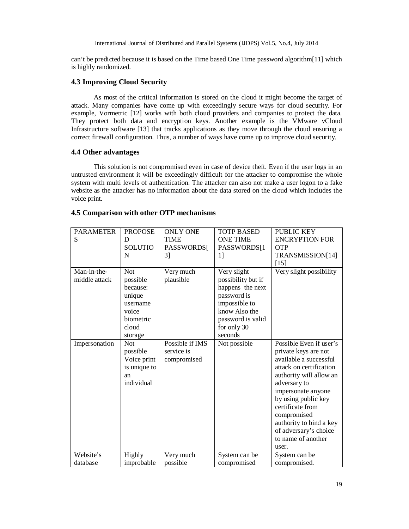can't be predicted because it is based on the Time based One Time password algorithm[11] which is highly randomized.

#### **4.3 Improving Cloud Security**

As most of the critical information is stored on the cloud it might become the target of attack. Many companies have come up with exceedingly secure ways for cloud security. For example, Vormetric [12] works with both cloud providers and companies to protect the data. They protect both data and encryption keys. Another example is the VMware vCloud Infrastructure software [13] that tracks applications as they move through the cloud ensuring a correct firewall configuration. Thus, a number of ways have come up to improve cloud security.

#### **4.4 Other advantages**

This solution is not compromised even in case of device theft. Even if the user logs in an untrusted environment it will be exceedingly difficult for the attacker to compromise the whole system with multi levels of authentication. The attacker can also not make a user logon to a fake website as the attacker has no information about the data stored on the cloud which includes the voice print.

| <b>PARAMETER</b><br>S<br>Man-in-the-<br>middle attack | <b>PROPOSE</b><br>D<br><b>SOLUTIO</b><br>N<br><b>Not</b><br>possible<br>because:<br>unique<br>username | <b>ONLY ONE</b><br><b>TIME</b><br><b>PASSWORDS</b><br>3]<br>Very much<br>plausible | <b>TOTP BASED</b><br><b>ONE TIME</b><br>PASSWORDS[1<br>1]<br>Very slight<br>possibility but if<br>happens the next<br>password is<br>impossible to | PUBLIC KEY<br><b>ENCRYPTION FOR</b><br><b>OTP</b><br>TRANSMISSION[14]<br>$[15]$<br>Very slight possibility                                                                                                                                                                              |
|-------------------------------------------------------|--------------------------------------------------------------------------------------------------------|------------------------------------------------------------------------------------|----------------------------------------------------------------------------------------------------------------------------------------------------|-----------------------------------------------------------------------------------------------------------------------------------------------------------------------------------------------------------------------------------------------------------------------------------------|
| Impersonation                                         | voice<br>biometric<br>cloud<br>storage<br><b>Not</b>                                                   | Possible if IMS                                                                    | know Also the<br>password is valid<br>for only 30<br>seconds<br>Not possible                                                                       | Possible Even if user's                                                                                                                                                                                                                                                                 |
|                                                       | possible<br>Voice print<br>is unique to<br>an<br>individual                                            | service is<br>compromised                                                          |                                                                                                                                                    | private keys are not<br>available a successful<br>attack on certification<br>authority will allow an<br>adversary to<br>impersonate anyone<br>by using public key<br>certificate from<br>compromised<br>authority to bind a key<br>of adversary's choice<br>to name of another<br>user. |
| Website's<br>database                                 | Highly<br>improbable                                                                                   | Very much<br>possible                                                              | System can be<br>compromised                                                                                                                       | System can be<br>compromised.                                                                                                                                                                                                                                                           |

#### **4.5 Comparison with other OTP mechanisms**